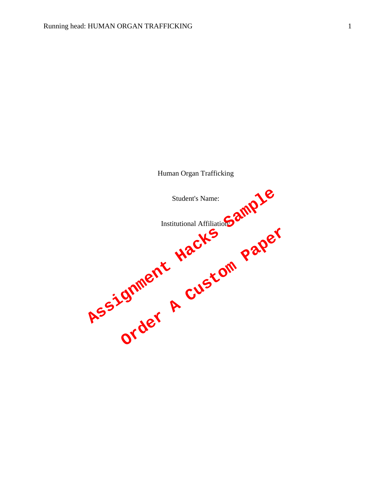### Human Organ Trafficking

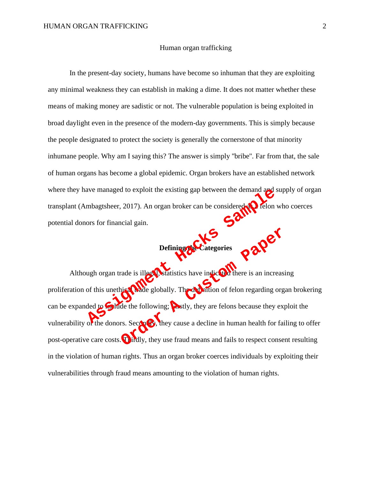## Human organ trafficking

In the present-day society, humans have become so inhuman that they are exploiting any minimal weakness they can establish in making a dime. It does not matter whether these means of making money are sadistic or not. The vulnerable population is being exploited in broad daylight even in the presence of the modern-day governments. This is simply because the people designated to protect the society is generally the cornerstone of that minority inhumane people. Why am I saying this? The answer is simply ''bribe''. Far from that, the sale of human organs has become a global epidemic. Organ brokers have an established network where they have managed to exploit the existing gap between the demand and supply of organ transplant (Ambagtsheer, 2017). An organ broker can be considered as **a** felon who coerces potential donors for financial gain.

# **Defining the Categories**

Although organ trade is illegal, statistics have indicated there is an increasing proliferation of this unethical trade globally. The definition of felon regarding organ brokering can be expanded to **include the following;** Firstly, they are felons because they exploit the vulnerability of the donors. Seconds, they cause a decline in human health for failing to offer post-operative care costs. **Thirdl**y, they use fraud means and fails to respect consent resulting in the violation of human rights. Thus an organ broker coerces individuals by exploiting their vulnerabilities through fraud means amounting to the violation of human rights. We managed to exploit the existing gap between the dentant and strategy in<br>the denomination of this unething the denomination of felon strategy<br>and globally. The considered with the is an increase of this unething<br>of this Defining the Categories<br>
Trade is illegeneratives have indicementer is an increase<br>
ide the following; **Pastly**, they are felons because they express.<br>
Seconds, they cause a decline in human health for fair<br>
Ordly, they us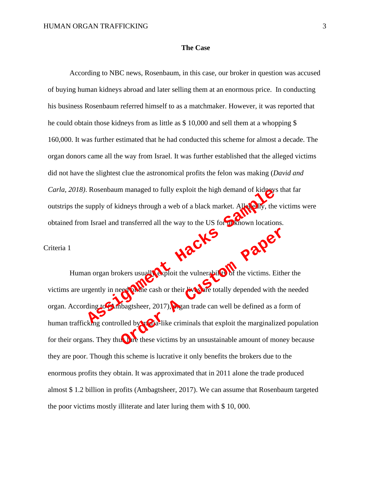#### **The Case**

According to NBC news, Rosenbaum, in this case, our broker in question was accused of buying human kidneys abroad and later selling them at an enormous price. In conducting his business Rosenbaum referred himself to as a matchmaker. However, it was reported that he could obtain those kidneys from as little as \$ 10,000 and sell them at a whopping \$ 160,000. It was further estimated that he had conducted this scheme for almost a decade. The organ donors came all the way from Israel. It was further established that the alleged victims did not have the slightest clue the astronomical profits the felon was making (*David and Carla, 2018)*. Rosenbaum managed to fully exploit the high demand of kidneys that far outstrips the supply of kidneys through a web of a black market. Allegedly, the victims were obtained from Israel and transferred all the way to the US for **unknown** locations.

### Criteria 1

Human organ brokers usually exploit the vulnerability of the victims. Either the victims are urgently in need of the cash or their lives are totally depended with the needed organ. According to Combagtsheer, 2017),  $\alpha$  an trade can well be defined as a form of human trafficking controlled by matrice criminals that exploit the marginalized population for their organs. They thus  $\prod$  is these victims by an unsustainable amount of money because they are poor. Though this scheme is lucrative it only benefits the brokers due to the enormous profits they obtain. It was approximated that in 2011 alone the trade produced almost \$ 1.2 billion in profits (Ambagtsheer, 2017). We can assume that Rosenbaum targeted the poor victims mostly illiterate and later luring them with \$ 10, 000. Rosenbaum managed to funy exploit the manufacture of a black market. All seeing<br>supply of kidneys through a web of a black market. All seeing with the internation<br>of the US for Changes in the US for Changes in the US for C **Paper**<br>
Kers usual peoploit the vulnerability of the victims. Either<br>
bagtsheer, 2017), pegan trade can well be defined as a fo<br>
led by mea-like criminals that exploit the marginalized<br>
Ore these victims by an unsustainab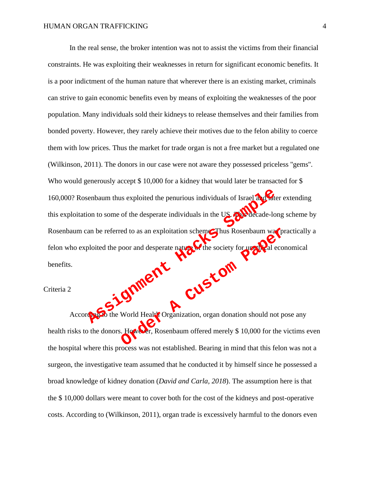In the real sense, the broker intention was not to assist the victims from their financial constraints. He was exploiting their weaknesses in return for significant economic benefits. It is a poor indictment of the human nature that wherever there is an existing market, criminals can strive to gain economic benefits even by means of exploiting the weaknesses of the poor population. Many individuals sold their kidneys to release themselves and their families from bonded poverty. However, they rarely achieve their motives due to the felon ability to coerce them with low prices. Thus the market for trade organ is not a free market but a regulated one (Wilkinson, 2011). The donors in our case were not aware they possessed priceless ''gems''. Who would generously accept \$10,000 for a kidney that would later be transacted for \$ 160,000? Rosenbaum thus exploited the penurious individuals of Israel and later extending this exploitation to some of the desperate individuals in the US. This decade-long scheme by Rosenbaum can be referred to as an exploitation scheme. Thus Rosenbaum was practically a felon who exploited the poor and desperate nature  $\mathbf{G}$  the society for unether al economical benefits. Encore of the desperate individuals in the US. The detection to some of the desperate individuals in the US. The decade-lone and be referred to as an exploitation scheme Thus Rosenbaum was ploited the poor and desperate na Ford as an exploitation scheme Thus Rosenbaum was proor and desperate nature Critic society for ungerpal economy of the society for ungerpal economy of the society for ungerpal economy of the society of the society of the

## Criteria 2

According to the World Health Organization, organ donation should not pose any health risks to the donors. However, Rosenbaum offered merely \$ 10,000 for the victims even the hospital where this process was not established. Bearing in mind that this felon was not a surgeon, the investigative team assumed that he conducted it by himself since he possessed a broad knowledge of kidney donation (*David and Carla, 2018*). The assumption here is that the \$ 10,000 dollars were meant to cover both for the cost of the kidneys and post-operative costs. According to (Wilkinson, 2011), organ trade is excessively harmful to the donors even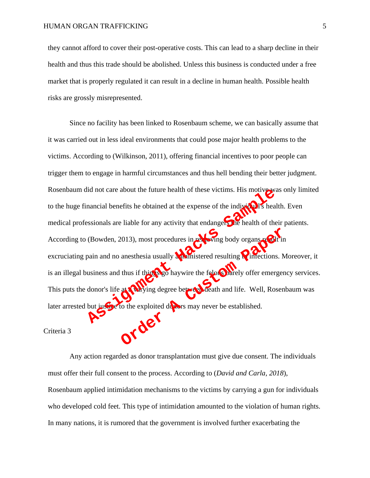they cannot afford to cover their post-operative costs. This can lead to a sharp decline in their health and thus this trade should be abolished. Unless this business is conducted under a free market that is properly regulated it can result in a decline in human health. Possible health risks are grossly misrepresented.

Since no facility has been linked to Rosenbaum scheme, we can basically assume that it was carried out in less ideal environments that could pose major health problems to the victims. According to (Wilkinson, 2011), offering financial incentives to poor people can trigger them to engage in harmful circumstances and thus hell bending their better judgment. Rosenbaum did not care about the future health of these victims. His motive was only limited to the huge financial benefits he obtained at the expense of the individual's health. Even medical professionals are liable for any activity that endangers the health of their patients. According to (Bowden, 2013), most procedures in revealing body organs result in excruciating pain and no anesthesia usually administered resulting to infections. Moreover, it is an illegal business and thus if things go haywire the felons barely offer emergency services. This puts the donor's life at **Arying degree between death and life.** Well, Rosenbaum was later arrested but justice to the exploited downs may never be established. Assionals are liable for any activity that endanger the individuals have a<br>mancial benefits he obtained at the expense of the individuals heal<br>essionals are liable for any activity that endanger the health of the<br>(Bowden, 2013), most procedures in **reading** body organs receiving anesthesia usually appliistered resulting **Confections**. Nothists if this second haywire the felon Carely offer emerger at the exploited downs may never be establis

Criteria 3

Any action regarded as donor transplantation must give due consent. The individuals must offer their full consent to the process. According to (*David and Carla, 2018*), Rosenbaum applied intimidation mechanisms to the victims by carrying a gun for individuals who developed cold feet. This type of intimidation amounted to the violation of human rights. In many nations, it is rumored that the government is involved further exacerbating the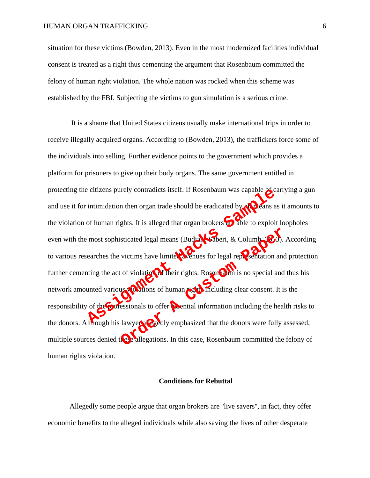situation for these victims (Bowden, 2013). Even in the most modernized facilities individual consent is treated as a right thus cementing the argument that Rosenbaum committed the felony of human right violation. The whole nation was rocked when this scheme was established by the FBI. Subjecting the victims to gun simulation is a serious crime.

It is a shame that United States citizens usually make international trips in order to receive illegally acquired organs. According to (Bowden, 2013), the traffickers force some of the individuals into selling. Further evidence points to the government which provides a platform for prisoners to give up their body organs. The same government entitled in protecting the citizens purely contradicts itself. If Rosenbaum was capable of carrying a gun and use it for intimidation then organ trade should be eradicated by  $\alpha$  means as it amounts to the violation of human rights. It is alleged that organ brokers  $\bullet$  able to exploit loopholes even with the most sophisticated legal means (Budian Saberi, & Columb,  $203$ ). According to various researches the victims have limited avenues for legal representation and protection further cementing the act of violation  $\alpha$  their rights. Rosenbaum is no special and thus his network amounted various volations of human right including clear consent. It is the responsibility of the professionals to offer the neutral information including the health risks to the donors. Although his lawyer allegedly emphasized that the donors were fully assessed, multiple sources denied these allegations. In this case, Rosenbaum committed the felony of human rights violation. The term of the term of the term of the term of the term of the term of the term of the term of the term of the term of the term of the term of the term of the term of the term of the term of the term of the term of the te sticated legal means (Budia Waberi, & Columb 2003).<br>
victims have limited wenues for legal representation and<br>
of violations of human right. Rosentation is no special and<br>
us were the mean right. The mean representation in

#### **Conditions for Rebuttal**

Allegedly some people argue that organ brokers are ''live savers'', in fact, they offer economic benefits to the alleged individuals while also saving the lives of other desperate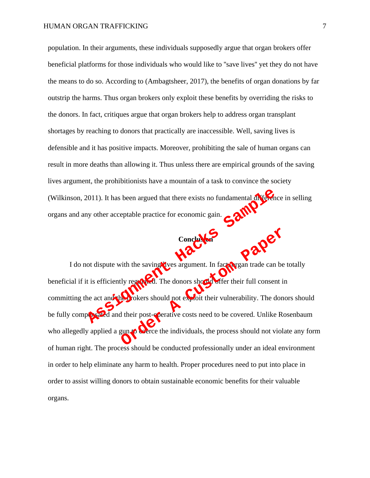population. In their arguments, these individuals supposedly argue that organ brokers offer beneficial platforms for those individuals who would like to ''save lives'' yet they do not have the means to do so. According to (Ambagtsheer, 2017), the benefits of organ donations by far outstrip the harms. Thus organ brokers only exploit these benefits by overriding the risks to the donors. In fact, critiques argue that organ brokers help to address organ transplant shortages by reaching to donors that practically are inaccessible. Well, saving lives is defensible and it has positive impacts. Moreover, prohibiting the sale of human organs can result in more deaths than allowing it. Thus unless there are empirical grounds of the saving lives argument, the prohibitionists have a mountain of a task to convince the society (Wilkinson, 2011). It has been argued that there exists no fundamental difference in selling organs and any other acceptable practice for economic gain.

I do not dispute with the saving lives argument. In fact, organ trade can be totally beneficial if it is efficiently regulated. The donors should offer their full consent in committing the act and the brokers should not exploit their vulnerability. The donors should be fully compensated and their post-operative costs need to be covered. Unlike Rosenbaum who allegedly applied a gun to  $\mathcal O$  cree the individuals, the process should not violate any form of human right. The process should be conducted professionally under an ideal environment in order to help eliminate any harm to health. Proper procedures need to put into place in order to assist willing donors to obtain sustainable economic benefits for their valuable organs. 2011). It has been argued that there exists no fundamental divergence<br>and other acceptable practice for economic gain.<br>Conclusion conclusions of the conception of the sample of the sample of the sample of the sample of the Conclusion Conclusion Conclusion Conclusion Conclusion City regrets argument. In factogram trade can be thy regrets at the donors shows of their full consent in Conclusion Conclusion Conclusion Conclusion Conclusion of the

Conclusion